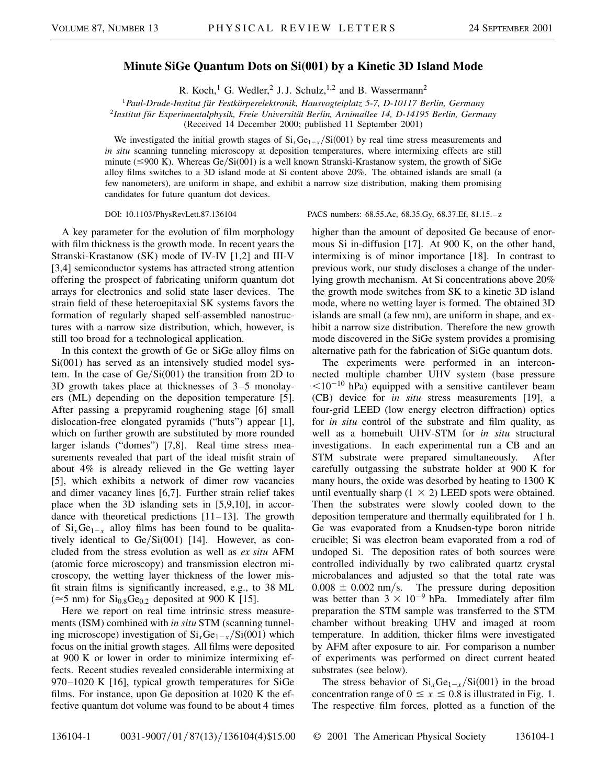## **Minute SiGe Quantum Dots on Si(001) by a Kinetic 3D Island Mode**

R. Koch,<sup>1</sup> G. Wedler,<sup>2</sup> J. J. Schulz,<sup>1,2</sup> and B. Wassermann<sup>2</sup>

<sup>1</sup>*Paul-Drude-Institut für Festkörperelektronik, Hausvogteiplatz 5-7, D-10117 Berlin, Germany* <sup>2</sup>*Institut für Experimentalphysik, Freie Universität Berlin, Arnimallee 14, D-14195 Berlin, Germany*

(Received 14 December 2000; published 11 September 2001)

We investigated the initial growth stages of  $Si_xGe_{1-x}/Si(001)$  by real time stress measurements and *in situ* scanning tunneling microscopy at deposition temperatures, where intermixing effects are still minute ( $\leq 900$  K). Whereas Ge/Si(001) is a well known Stranski-Krastanow system, the growth of SiGe alloy films switches to a 3D island mode at Si content above 20%. The obtained islands are small (a few nanometers), are uniform in shape, and exhibit a narrow size distribution, making them promising candidates for future quantum dot devices.

A key parameter for the evolution of film morphology with film thickness is the growth mode. In recent years the Stranski-Krastanow (SK) mode of IV-IV [1,2] and III-V [3,4] semiconductor systems has attracted strong attention offering the prospect of fabricating uniform quantum dot arrays for electronics and solid state laser devices. The strain field of these heteroepitaxial SK systems favors the formation of regularly shaped self-assembled nanostructures with a narrow size distribution, which, however, is still too broad for a technological application.

In this context the growth of Ge or SiGe alloy films on Si(001) has served as an intensively studied model system. In the case of  $Ge/Si(001)$  the transition from 2D to 3D growth takes place at thicknesses of 3–5 monolayers (ML) depending on the deposition temperature [5]. After passing a prepyramid roughening stage [6] small dislocation-free elongated pyramids ("huts") appear [1], which on further growth are substituted by more rounded larger islands ("domes") [7,8]. Real time stress measurements revealed that part of the ideal misfit strain of about 4% is already relieved in the Ge wetting layer [5], which exhibits a network of dimer row vacancies and dimer vacancy lines [6,7]. Further strain relief takes place when the 3D islanding sets in [5,9,10], in accordance with theoretical predictions  $[11-13]$ . The growth of  $Si_xGe_{1-x}$  alloy films has been found to be qualitatively identical to  $Ge/Si(001)$  [14]. However, as concluded from the stress evolution as well as *ex situ* AFM (atomic force microscopy) and transmission electron microscopy, the wetting layer thickness of the lower misfit strain films is significantly increased, e.g., to 38 ML ( $\approx$ 5 nm) for Si<sub>0.8</sub>Ge<sub>0.2</sub> deposited at 900 K [15].

Here we report on real time intrinsic stress measurements (ISM) combined with *in situ* STM (scanning tunneling microscope) investigation of  $Si_xGe_{1-x}/Si(001)$  which focus on the initial growth stages. All films were deposited at 900 K or lower in order to minimize intermixing effects. Recent studies revealed considerable intermixing at 970–1020 K [16], typical growth temperatures for SiGe films. For instance, upon Ge deposition at 1020 K the effective quantum dot volume was found to be about 4 times

DOI: 10.1103/PhysRevLett.87.136104 PACS numbers: 68.55.Ac, 68.35.Gy, 68.37.Ef, 81.15.–z

higher than the amount of deposited Ge because of enormous Si in-diffusion [17]. At 900 K, on the other hand, intermixing is of minor importance [18]. In contrast to previous work, our study discloses a change of the underlying growth mechanism. At Si concentrations above 20% the growth mode switches from SK to a kinetic 3D island mode, where no wetting layer is formed. The obtained 3D islands are small (a few nm), are uniform in shape, and exhibit a narrow size distribution. Therefore the new growth mode discovered in the SiGe system provides a promising alternative path for the fabrication of SiGe quantum dots.

The experiments were performed in an interconnected multiple chamber UHV system (base pressure  $\leq 10^{-10}$  hPa) equipped with a sensitive cantilever beam (CB) device for *in situ* stress measurements [19], a four-grid LEED (low energy electron diffraction) optics for *in situ* control of the substrate and film quality, as well as a homebuilt UHV-STM for *in situ* structural investigations. In each experimental run a CB and an STM substrate were prepared simultaneously. After carefully outgassing the substrate holder at 900 K for many hours, the oxide was desorbed by heating to 1300 K until eventually sharp  $(1 \times 2)$  LEED spots were obtained. Then the substrates were slowly cooled down to the deposition temperature and thermally equilibrated for 1 h. Ge was evaporated from a Knudsen-type boron nitride crucible; Si was electron beam evaporated from a rod of undoped Si. The deposition rates of both sources were controlled individually by two calibrated quartz crystal microbalances and adjusted so that the total rate was  $0.008 \pm 0.002$  nm/s. The pressure during deposition was better than  $3 \times 10^{-9}$  hPa. Immediately after film preparation the STM sample was transferred to the STM chamber without breaking UHV and imaged at room temperature. In addition, thicker films were investigated by AFM after exposure to air. For comparison a number of experiments was performed on direct current heated substrates (see below).

The stress behavior of  $Si_xGe_{1-x}/Si(001)$  in the broad concentration range of  $0 \le x \le 0.8$  is illustrated in Fig. 1. The respective film forces, plotted as a function of the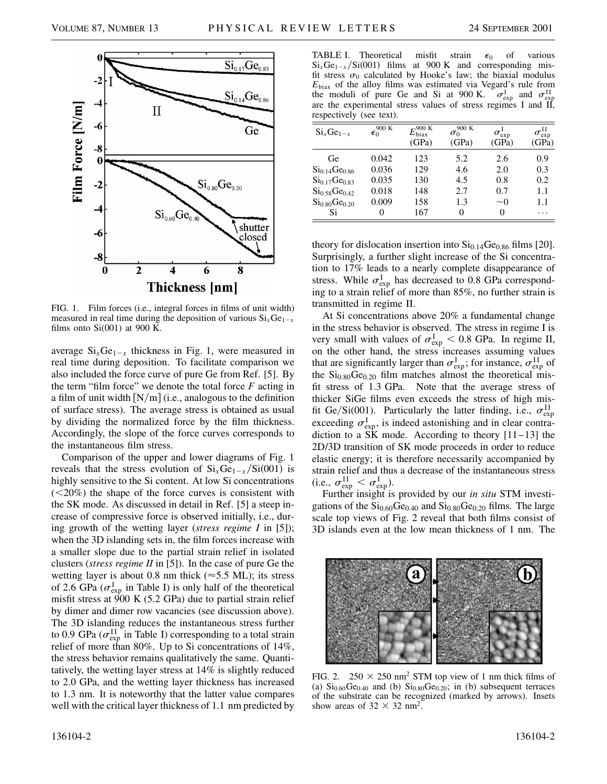

FIG. 1. Film forces (i.e., integral forces in films of unit width) measured in real time during the deposition of various  $Si_xGe_{1-x}$ films onto  $Si(001)$  at 900 K.

average  $Si_xGe_{1-x}$  thickness in Fig. 1, were measured in real time during deposition. To facilitate comparison we also included the force curve of pure Ge from Ref. [5]. By the term "film force" we denote the total force *F* acting in a film of unit width  $[N/m]$  (i.e., analogous to the definition of surface stress). The average stress is obtained as usual by dividing the normalized force by the film thickness. Accordingly, the slope of the force curves corresponds to the instantaneous film stress.

Comparison of the upper and lower diagrams of Fig. 1 reveals that the stress evolution of  $Si_xGe_{1-x}/Si(001)$  is highly sensitive to the Si content. At low Si concentrations  $(<20\%)$  the shape of the force curves is consistent with the SK mode. As discussed in detail in Ref. [5] a steep increase of compressive force is observed initially, i.e., during growth of the wetting layer (*stress regime I* in [5]); when the 3D islanding sets in, the film forces increase with a smaller slope due to the partial strain relief in isolated clusters (*stress regime II* in [5]). In the case of pure Ge the wetting layer is about 0.8 nm thick ( $\approx$  5.5 ML); its stress of 2.6 GPa ( $\sigma_{\text{exp}}^{\text{I}}$  in Table I) is only half of the theoretical misfit stress at  $900 \text{ K}$  (5.2 GPa) due to partial strain relief by dimer and dimer row vacancies (see discussion above). The 3D islanding reduces the instantaneous stress further to 0.9 GPa ( $\sigma_{\text{exp}}^{\text{II}}$  in Table I) corresponding to a total strain relief of more than 80%. Up to Si concentrations of 14%, the stress behavior remains qualitatively the same. Quantitatively, the wetting layer stress at 14% is slightly reduced to 2.0 GPa, and the wetting layer thickness has increased to 1.3 nm. It is noteworthy that the latter value compares well with the critical layer thickness of 1.1 nm predicted by



| $Si_xGe_{1-x}$                        | 900 K<br>$\epsilon_0$ | $-900K$<br>$E_{\text{bias}}$<br>(GPa) | 900 K<br>$\sigma_0$<br>(GPa) | $\sigma_{\exp}^1$<br>(GPa) | $\sigma^\mathrm{II}_\mathrm{exp}$<br>(GPa) |
|---------------------------------------|-----------------------|---------------------------------------|------------------------------|----------------------------|--------------------------------------------|
| Ge                                    | 0.042                 | 123                                   | 5.2                          | 2.6                        | 0.9                                        |
| Si <sub>0.14</sub> Ge <sub>0.86</sub> | 0.036                 | 129                                   | 4.6                          | 2.0                        | 0.3                                        |
| $Si_{0.17}Ge_{0.83}$                  | 0.035                 | 130                                   | 4.5                          | 0.8                        | 0.2                                        |
| $Si_{0.58}Ge_{0.42}$                  | 0.018                 | 148                                   | 2.7                          | 0.7                        | 1.1                                        |
| Si <sub>0.80</sub> Ge <sub>0.20</sub> | 0.009                 | 158                                   | 1.3                          | $\sim$ 0                   | 1.1                                        |
| Si                                    |                       | 167                                   | 0                            | 0                          | .                                          |

theory for dislocation insertion into  $Si<sub>0.14</sub>Ge<sub>0.86</sub>$  films [20]. Surprisingly, a further slight increase of the Si concentration to 17% leads to a nearly complete disappearance of stress. While  $\sigma_{\text{exp}}^{\text{I}}$  has decreased to 0.8 GPa corresponding to a strain relief of more than 85%, no further strain is transmitted in regime II.

At Si concentrations above 20% a fundamental change in the stress behavior is observed. The stress in regime I is very small with values of  $\sigma_{\exp}^I < 0.8$  GPa. In regime II, on the other hand, the stress increases assuming values that are significantly larger than  $\sigma_{\text{exp}}^{\text{I}}$ ; for instance,  $\sigma_{\text{exp}}^{\text{II}}$  of the  $Si<sub>0.80</sub>Ge<sub>0.20</sub>$  film matches almost the theoretical misfit stress of 1.3 GPa. Note that the average stress of thicker SiGe films even exceeds the stress of high misfit Ge/Si(001). Particularly the latter finding, i.e.,  $\sigma_{\text{exp}}^{\text{II}}$ exceeding  $\sigma_{\text{exp}}^{\text{I}}$ , is indeed astonishing and in clear contradiction to a  $\overrightarrow{SK}$  mode. According to theory [11–13] the 2D/3D transition of SK mode proceeds in order to reduce elastic energy; it is therefore necessarily accompanied by strain relief and thus a decrease of the instantaneous stress (i.e.,  $\sigma_{\exp}^{\text{II}} < \sigma_{\exp}^{\text{I}}$ ).

Further insight is provided by our *in situ* STM investigations of the  $Si<sub>0.60</sub>Ge<sub>0.40</sub>$  and  $Si<sub>0.80</sub>Ge<sub>0.20</sub>$  films. The large scale top views of Fig. 2 reveal that both films consist of 3D islands even at the low mean thickness of 1 nm. The



FIG. 2.  $250 \times 250$  nm<sup>2</sup> STM top view of 1 nm thick films of (a)  $Si<sub>0.60</sub>Ge<sub>0.40</sub>$  and (b)  $Si<sub>0.80</sub>Ge<sub>0.20</sub>$ ; in (b) subsequent terraces of the substrate can be recognized (marked by arrows). Insets show areas of  $32 \times 32$  nm<sup>2</sup>.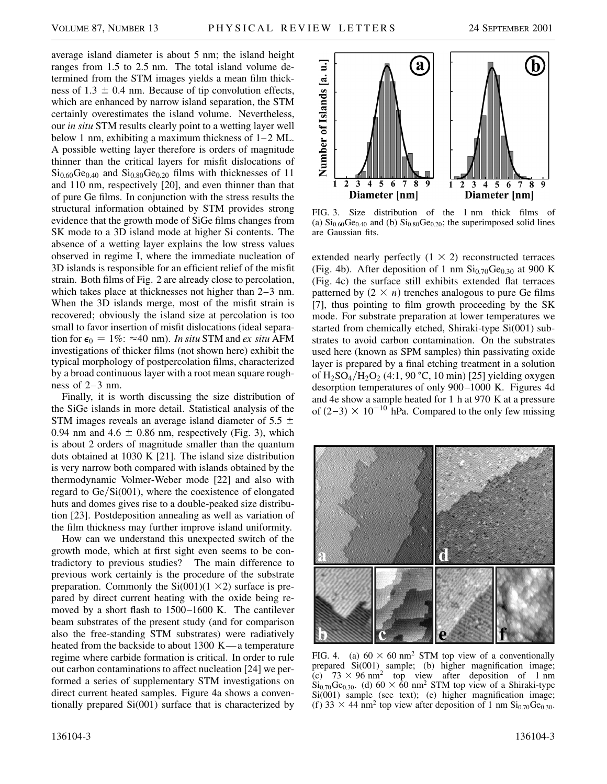average island diameter is about 5 nm; the island height ranges from 1.5 to 2.5 nm. The total island volume determined from the STM images yields a mean film thickness of  $1.3 \pm 0.4$  nm. Because of tip convolution effects, which are enhanced by narrow island separation, the STM certainly overestimates the island volume. Nevertheless, our *in situ* STM results clearly point to a wetting layer well below 1 nm, exhibiting a maximum thickness of 1–2 ML. A possible wetting layer therefore is orders of magnitude thinner than the critical layers for misfit dislocations of  $Si<sub>0.60</sub>Ge<sub>0.40</sub>$  and  $Si<sub>0.80</sub>Ge<sub>0.20</sub>$  films with thicknesses of 11 and 110 nm, respectively [20], and even thinner than that of pure Ge films. In conjunction with the stress results the structural information obtained by STM provides strong evidence that the growth mode of SiGe films changes from SK mode to a 3D island mode at higher Si contents. The absence of a wetting layer explains the low stress values observed in regime I, where the immediate nucleation of 3D islands is responsible for an efficient relief of the misfit strain. Both films of Fig. 2 are already close to percolation, which takes place at thicknesses not higher than 2–3 nm. When the 3D islands merge, most of the misfit strain is recovered; obviously the island size at percolation is too small to favor insertion of misfit dislocations (ideal separation for  $\epsilon_0 = 1\%$ :  $\approx 40$  nm). *In situ* STM and *ex situ* AFM investigations of thicker films (not shown here) exhibit the typical morphology of postpercolation films, characterized by a broad continuous layer with a root mean square roughness of 2–3 nm.

Finally, it is worth discussing the size distribution of the SiGe islands in more detail. Statistical analysis of the STM images reveals an average island diameter of 5.5  $\pm$ 0.94 nm and  $4.6 \pm 0.86$  nm, respectively (Fig. 3), which is about 2 orders of magnitude smaller than the quantum dots obtained at 1030 K [21]. The island size distribution is very narrow both compared with islands obtained by the thermodynamic Volmer-Weber mode [22] and also with regard to  $Ge/Si(001)$ , where the coexistence of elongated huts and domes gives rise to a double-peaked size distribution [23]. Postdeposition annealing as well as variation of the film thickness may further improve island uniformity.

How can we understand this unexpected switch of the growth mode, which at first sight even seems to be contradictory to previous studies? The main difference to previous work certainly is the procedure of the substrate preparation. Commonly the  $Si(001)(1 \times 2)$  surface is prepared by direct current heating with the oxide being removed by a short flash to 1500–1600 K. The cantilever beam substrates of the present study (and for comparison also the free-standing STM substrates) were radiatively heated from the backside to about 1300 K—a temperature regime where carbide formation is critical. In order to rule out carbon contaminations to affect nucleation [24] we performed a series of supplementary STM investigations on direct current heated samples. Figure 4a shows a conventionally prepared Si(001) surface that is characterized by



FIG. 3. Size distribution of the 1 nm thick films of (a)  $Si<sub>0.60</sub>Ge<sub>0.40</sub>$  and (b)  $Si<sub>0.80</sub>Ge<sub>0.20</sub>$ ; the superimposed solid lines are Gaussian fits.

extended nearly perfectly  $(1 \times 2)$  reconstructed terraces (Fig. 4b). After deposition of 1 nm  $\text{Si}_{0.70}\text{Ge}_{0.30}$  at 900 K (Fig. 4c) the surface still exhibits extended flat terraces patterned by  $(2 \times n)$  trenches analogous to pure Ge films [7], thus pointing to film growth proceeding by the SK mode. For substrate preparation at lower temperatures we started from chemically etched, Shiraki-type Si(001) substrates to avoid carbon contamination. On the substrates used here (known as SPM samples) thin passivating oxide layer is prepared by a final etching treatment in a solution of  $H_2SO_4/H_2O_2$  (4:1, 90 °C, 10 min) [25] yielding oxygen desorption temperatures of only 900–1000 K. Figures 4d and 4e show a sample heated for 1 h at 970 K at a pressure of  $(2-3) \times 10^{-10}$  hPa. Compared to the only few missing



FIG. 4. (a)  $60 \times 60$  nm<sup>2</sup> STM top view of a conventionally prepared Si(001) sample; (b) higher magnification image; (c)  $73 \times 96$  nm<sup>2</sup> top view after deposition of 1 nm  $Si<sub>0.70</sub>Ge<sub>0.30</sub>$ . (d)  $60 \times 60$  nm<sup>2</sup> STM top view of a Shiraki-type Si(001) sample (see text); (e) higher magnification image; (f) 33  $\times$  44 nm<sup>2</sup> top view after deposition of 1 nm Si<sub>0.70</sub>Ge<sub>0.30</sub>.